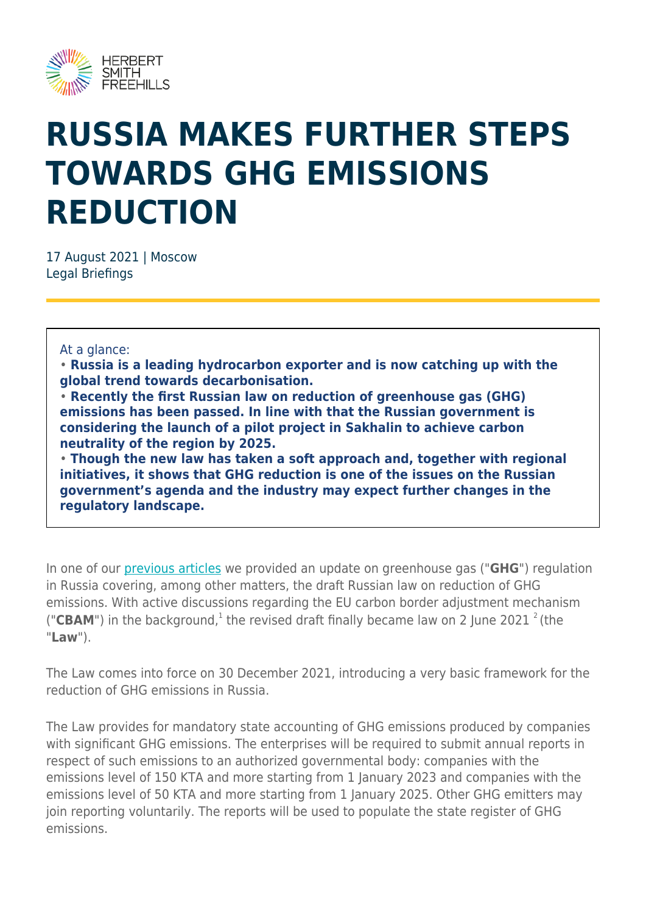

## **RUSSIA MAKES FURTHER STEPS TOWARDS GHG EMISSIONS REDUCTION**

17 August 2021 | Moscow Legal Briefings

## At a glance:

• **Russia is a leading hydrocarbon exporter and is now catching up with the global trend towards decarbonisation.**

• **Recently the first Russian law on reduction of greenhouse gas (GHG) emissions has been passed. In line with that the Russian government is considering the launch of a pilot project in Sakhalin to achieve carbon neutrality of the region by 2025.**

• **Though the new law has taken a soft approach and, together with regional initiatives, it shows that GHG reduction is one of the issues on the Russian government's agenda and the industry may expect further changes in the regulatory landscape.**

In one of our [previous articles](https://ceelegalmatters.com/russia/14402-green-energy-update-from-russia) we provided an update on greenhouse gas ("**GHG**") regulation in Russia covering, among other matters, the draft Russian law on reduction of GHG emissions. With active discussions regarding the EU carbon border adjustment mechanism ("CBAM") in the background, $1$  the revised draft finally became law on 2 June 2021  $2$  (the "**Law**").

The Law comes into force on 30 December 2021, introducing a very basic framework for the reduction of GHG emissions in Russia.

The Law provides for mandatory state accounting of GHG emissions produced by companies with significant GHG emissions. The enterprises will be required to submit annual reports in respect of such emissions to an authorized governmental body: companies with the emissions level of 150 KTA and more starting from 1 January 2023 and companies with the emissions level of 50 KTA and more starting from 1 January 2025. Other GHG emitters may join reporting voluntarily. The reports will be used to populate the state register of GHG emissions.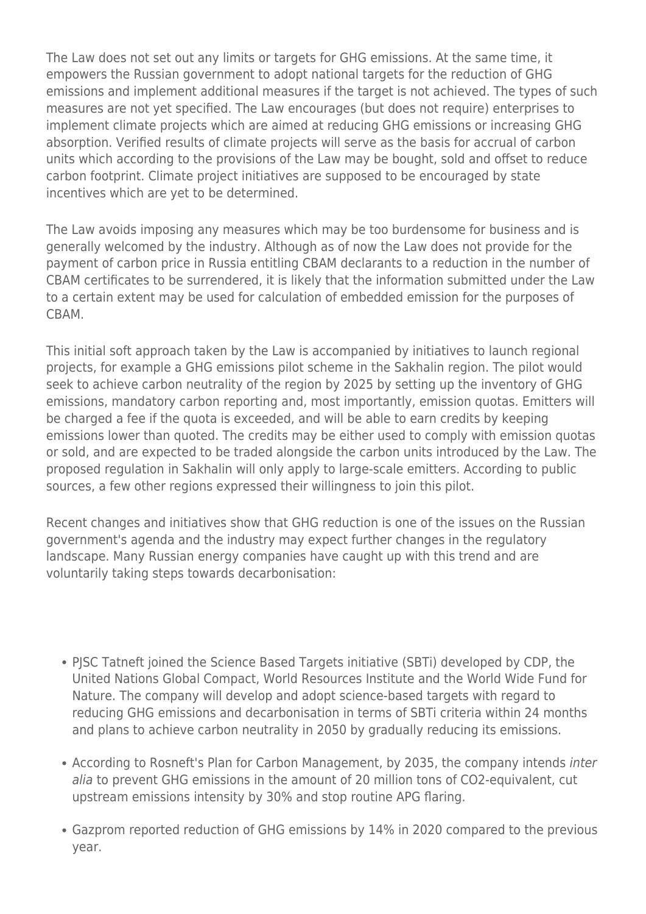The Law does not set out any limits or targets for GHG emissions. At the same time, it empowers the Russian government to adopt national targets for the reduction of GHG emissions and implement additional measures if the target is not achieved. The types of such measures are not yet specified. The Law encourages (but does not require) enterprises to implement climate projects which are aimed at reducing GHG emissions or increasing GHG absorption. Verified results of climate projects will serve as the basis for accrual of carbon units which according to the provisions of the Law may be bought, sold and offset to reduce carbon footprint. Climate project initiatives are supposed to be encouraged by state incentives which are yet to be determined.

The Law avoids imposing any measures which may be too burdensome for business and is generally welcomed by the industry. Although as of now the Law does not provide for the payment of carbon price in Russia entitling CBAM declarants to a reduction in the number of CBAM certificates to be surrendered, it is likely that the information submitted under the Law to a certain extent may be used for calculation of embedded emission for the purposes of CBAM.

This initial soft approach taken by the Law is accompanied by initiatives to launch regional projects, for example a GHG emissions pilot scheme in the Sakhalin region. The pilot would seek to achieve carbon neutrality of the region by 2025 by setting up the inventory of GHG emissions, mandatory carbon reporting and, most importantly, emission quotas. Emitters will be charged a fee if the quota is exceeded, and will be able to earn credits by keeping emissions lower than quoted. The credits may be either used to comply with emission quotas or sold, and are expected to be traded alongside the carbon units introduced by the Law. The proposed regulation in Sakhalin will only apply to large-scale emitters. According to public sources, a few other regions expressed their willingness to join this pilot.

Recent changes and initiatives show that GHG reduction is one of the issues on the Russian government's agenda and the industry may expect further changes in the regulatory landscape. Many Russian energy companies have caught up with this trend and are voluntarily taking steps towards decarbonisation:

- PJSC Tatneft joined the Science Based Targets initiative (SBTi) developed by CDP, the United Nations Global Compact, World Resources Institute and the World Wide Fund for Nature. The company will develop and adopt science-based targets with regard to reducing GHG emissions and decarbonisation in terms of SBTi criteria within 24 months and plans to achieve carbon neutrality in 2050 by gradually reducing its emissions.
- According to Rosneft's Plan for Carbon Management, by 2035, the company intends inter alia to prevent GHG emissions in the amount of 20 million tons of CO2-equivalent, cut upstream emissions intensity by 30% and stop routine APG flaring.
- Gazprom reported reduction of GHG emissions by 14% in 2020 compared to the previous year.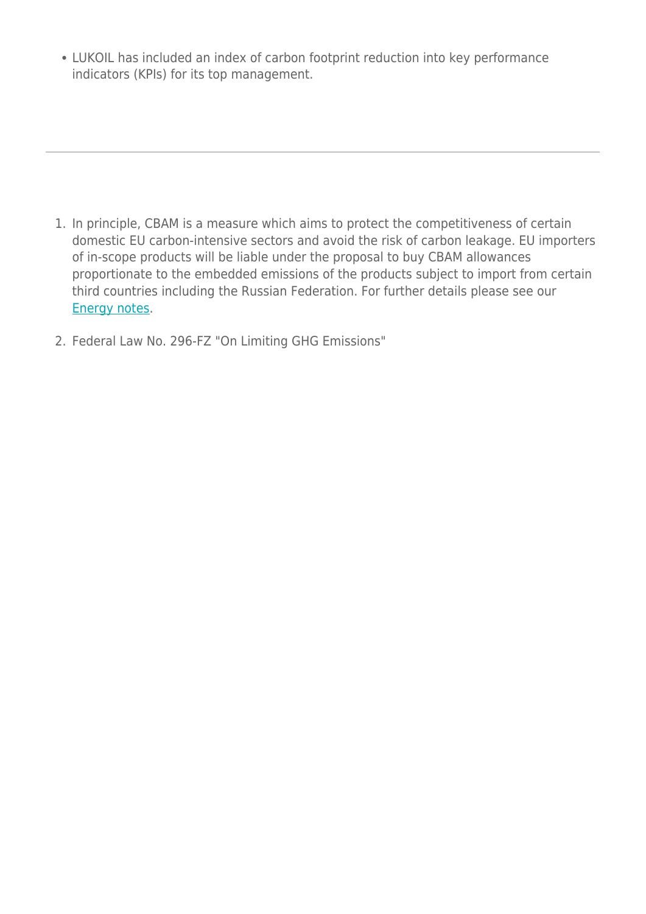LUKOIL has included an index of carbon footprint reduction into key performance indicators (KPIs) for its top management.

- 1. In principle, CBAM is a measure which aims to protect the competitiveness of certain domestic EU carbon-intensive sectors and avoid the risk of carbon leakage. EU importers of in-scope products will be liable under the proposal to buy CBAM allowances proportionate to the embedded emissions of the products subject to import from certain third countries including the Russian Federation. For further details please see our [Energy notes.](https://hsfnotes.com/energy/2021/07/22/fit-for-55-european-commission-publishes-its-proposal-for-a-carbon-border-adjustment-mechanism-eu-cbam/)
- 2. Federal Law No. 296-FZ "On Limiting GHG Emissions"